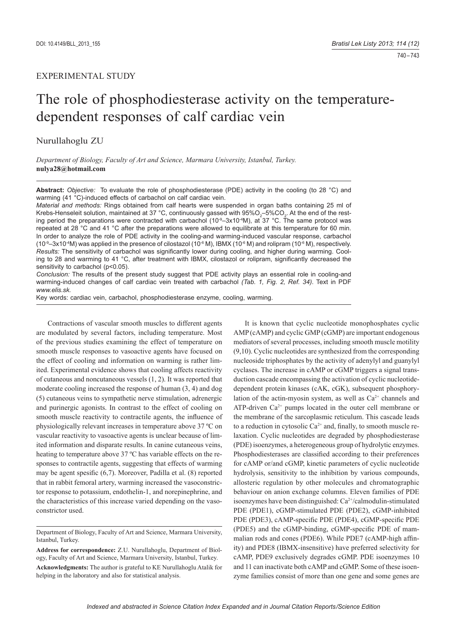## EXPERIMENTAL STUDY

# The role of phosphodiesterase activity on the temperaturedependent responses of calf cardiac vein

Nurullahoglu ZU

*Department of Biology, Faculty of Art and Science, Marmara University, Istanbul, Turkey.*  **nulya28@hotmail.com**

**Abstract:** *Objective:* To evaluate the role of phosphodiesterase (PDE) activity in the cooling (to 28 °C) and warming (41 °C)-induced effects of carbachol on calf cardiac vein.

*Material and methods:* Rings obtained from calf hearts were suspended in organ baths containing 25 ml of Krebs-Henseleit solution, maintained at 37 °C, continuously gassed with 95%O<sub>2</sub>–5%CO<sub>2</sub>. At the end of the resting period the preparations were contracted with carbachol (10 $^{\circ}$ -3x10 $^{\circ}$ M), at 37  $^{\circ}$ C. The same protocol was repeated at 28 °C and 41 °C after the preparations were allowed to equilibrate at this temperature for 60 min. In order to analyze the role of PDE activity in the cooling-and warming-induced vascular response, carbachol  $(10^9-3x10^4M)$  was applied in the presence of cilostazol  $(10^6M)$ , IBMX  $(10^6M)$  and rolipram  $(10^6M)$ , respectively. *Results:* The sensitivity of carbachol was significantly lower during cooling, and higher during warming. Cooling to 28 and warming to 41 °C, after treatment with IBMX, cilostazol or rolipram, significantly decreased the sensitivity to carbachol (p<0.05).

*Conclusion:* The results of the present study suggest that PDE activity plays an essential role in cooling-and warming-induced changes of calf cardiac vein treated with carbachol *(Tab. 1, Fig. 2, Ref. 34)*. Text in PDF *www.elis.sk.*

Key words: cardiac vein, carbachol, phosphodiesterase enzyme, cooling, warming.

Contractions of vascular smooth muscles to different agents are modulated by several factors, including temperature. Most of the previous studies examining the effect of temperature on smooth muscle responses to vasoactive agents have focused on the effect of cooling and information on warming is rather limited. Experimental evidence shows that cooling affects reactivity of cutaneous and noncutaneous vessels (1, 2). It was reported that moderate cooling increased the response of human (3, 4) and dog (5) cutaneous veins to sympathetic nerve stimulation, adrenergic and purinergic agonists. In contrast to the effect of cooling on smooth muscle reactivity to contractile agents, the influence of physiologically relevant increases in temperature above 37 ºC on vascular reactivity to vasoactive agents is unclear because of limited information and disparate results. In canine cutaneous veins, heating to temperature above 37 ºC has variable effects on the responses to contractile agents, suggesting that effects of warming may be agent spesific  $(6,7)$ . Moreover, Padilla et al.  $(8)$  reported that in rabbit femoral artery, warming increased the vasoconstrictor response to potassium, endothelin-1, and norepinephrine, and the characteristics of this increase varied depending on the vasoconstrictor used.

It is known that cyclic nucleotide monophosphates cyclic AMP (cAMP) and cyclic GMP (cGMP) are important endogenous mediators of several processes, including smooth muscle motility (9,10). Cyclic nucleotides are synthesized from the corresponding nucleoside triphosphates by the activity of adenylyl and guanylyl cyclases. The increase in cAMP or cGMP triggers a signal transduction cascade encompassing the activation of cyclic nucleotidedependent protein kinases (cAK, cGK), subsequent phosphorylation of the actin-myosin system, as well as  $Ca<sup>2+</sup>$  channels and ATP-driven  $Ca^{2+}$  pumps located in the outer cell membrane or the membrane of the sarcoplasmic reticulum. This cascade leads to a reduction in cytosolic  $Ca^{2+}$  and, finally, to smooth muscle relaxation. Cyclic nucleotides are degraded by phosphodiesterase (PDE) isoenzymes, a heterogeneous group of hydrolytic enzymes. Phosphodiesterases are classified according to their preferences for cAMP or/and cGMP, kinetic parameters of cyclic nucleotide hydrolysis, sensitivity to the inhibition by various compounds, allosteric regulation by other molecules and chromatographic behaviour on anion exchange columns. Eleven families of PDE isoenzymes have been distinguished:  $Ca<sup>2+</sup>/calmodulin-stimulated$ PDE (PDE1), cGMP-stimulated PDE (PDE2), cGMP-inhibited PDE (PDE3), cAMP-specific PDE (PDE4), cGMP-specific PDE (PDE5) and the cGMP-binding, cGMP-specific PDE of mammalian rods and cones (PDE6). While PDE7 (cAMP-high affinity) and PDE8 (IBMX-insensitive) have preferred selectivity for cAMP, PDE9 exclusively degrades cGMP. PDE isoenzymes 10 and 11 can inactivate both cAMP and cGMP. Some of these isoenzyme families consist of more than one gene and some genes are

Department of Biology, Faculty of Art and Science, Marmara University, Istanbul, Turkey.

**Address for correspondence:** Z.U. Nurullahoglu, Department of Biology, Faculty of Art and Science, Marmara University, Istanbul, Turkey. **Acknowledgments:** The author is grateful to KE Nurullahoglu Atalik for helping in the laboratory and also for statistical analysis.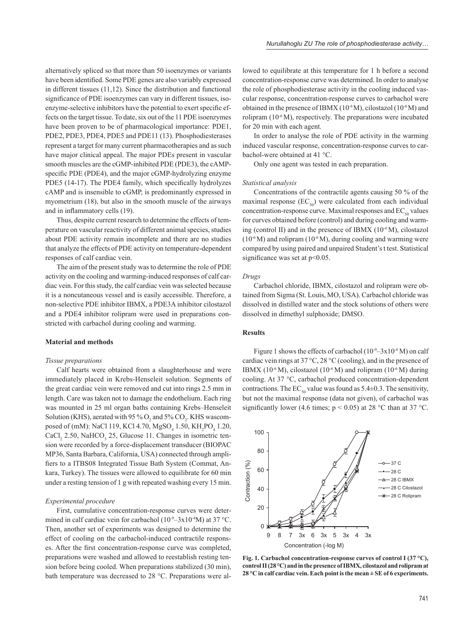alternatively spliced so that more than 50 isoenzymes or variants have been identified. Some PDE genes are also variably expressed in different tissues (11,12). Since the distribution and functional significance of PDE isoenzymes can vary in different tissues, isoenzyme-selective inhibitors have the potential to exert specific effects on the target tissue. To date, six out of the 11 PDE isoenzymes have been proven to be of pharmacological importance: PDE1, PDE2, PDE3, PDE4, PDE5 and PDE11 (13). Phosphodiesterases represent a target for many current pharmacotherapies and as such have major clinical appeal. The major PDEs present in vascular smooth muscles are the cGMP-inhibited PDE (PDE3), the cAMPspecific PDE (PDE4), and the major cGMP-hydrolyzing enzyme PDE5 (14-17). The PDE4 family, which specifically hydrolyzes cAMP and is insensible to cGMP, is predominantly expressed in myometrium (18), but also in the smooth muscle of the airways and in inflammatory cells (19).

Thus, despite current research to determine the effects of temperature on vascular reactivity of different animal species, studies about PDE activity remain incomplete and there are no studies that analyze the effects of PDE activity on temperature-dependent responses of calf cardiac vein.

The aim of the present study was to determine the role of PDE activity on the cooling and warming-induced responses of calf cardiac vein. For this study, the calf cardiac vein was selected because it is a noncutaneous vessel and is easily accessible. Therefore, a non-selective PDE inhibitor IBMX, a PDE3A inhibitor cilostazol and a PDE4 inhibitor rolipram were used in preparations constricted with carbachol during cooling and warming.

## **Material and methods**

#### *Tissue preparations*

Calf hearts were obtained from a slaughterhouse and were immediately placed in Krebs-Henseleit solution. Segments of the great cardiac vein were removed and cut into rings 2.5 mm in length. Care was taken not to damage the endothelium. Each ring was mounted in 25 ml organ baths containing Krebs–Henseleit Solution (KHS), aerated with 95 %  $O_2$  and 5%  $CO_2$ . KHS wascomposed of (mM): NaCl 119, KCl 4.70,  $MgSO_4$  1.50, KH<sub>2</sub>PO<sub>4</sub> 1.20, CaCl<sub>2</sub> 2.50, NaHCO<sub>3</sub> 25, Glucose 11. Changes in isometric tension were recorded by a force-displacement transducer (BIOPAC MP36, Santa Barbara, California, USA) connected through amplifiers to a ITBS08 Integrated Tissue Bath System (Commat, Ankara, Turkey). The tissues were allowed to equilibrate for 60 min under a resting tension of 1 g with repeated washing every 15 min.

## *Experimental procedure*

First, cumulative concentration-response curves were determined in calf cardiac vein for carbachol ( $10^{-9}$ – $3x10^{-4}$ M) at 37 °C. Then, another set of experiments was designed to determine the effect of cooling on the carbachol-induced contractile responses. After the first concentration-response curve was completed, preparations were washed and allowed to reestablish resting tension before being cooled. When preparations stabilized (30 min), bath temperature was decreased to 28 °C. Preparations were al-

lowed to equilibrate at this temperature for 1 h before a second concentration-response curve was determined. In order to analyse the role of phosphodiesterase activity in the cooling induced vascular response, concentration-response curves to carbachol were obtained in the presence of IBMX ( $10^{-6}$ M), cilostazol ( $10^{-6}$ M) and rolipram (10-6 M), respectively. The preparations were incubated for 20 min with each agent.

In order to analyse the role of PDE activity in the warming induced vascular response, concentration-response curves to carbachol-were obtained at 41 °C.

Only one agent was tested in each preparation.

## *Statistical analysis*

Concentrations of the contractile agents causing 50 % of the maximal response  $(EC_{50})$  were calculated from each individual concentration-response curve. Maximal responses and  $EC_{so}$  values for curves obtained before (control) and during cooling and warming (control II) and in the presence of IBMX (10<sup>-6</sup>M), cilostazol  $(10^{-6}$  M) and rolipram  $(10^{-6}$  M), during cooling and warming were compared by using paired and unpaired Student's t test. Statistical significance was set at  $p<0.05$ .

## *Drugs*

Carbachol chloride, IBMX, cilostazol and rolipram were obtained from Sigma (St. Louis, MO, USA). Carbachol chloride was dissolved in distilled water and the stock solutions of others were dissolved in dimethyl sulphoxide; DMSO.

## **Results**

Figure 1 shows the effects of carbachol  $(10^{-9} - 3 \times 10^{-4} \text{ M})$  on calf cardiac vein rings at 37 °C, 28 °C (cooling), and in the presence of IBMX (10<sup>-6</sup> M), cilostazol (10<sup>-6</sup> M) and rolipram (10<sup>-6</sup> M) during cooling. At 37 °C, carbachol produced concentration-dependent contractions. The  $EC_{50}$  value was found as 5.4 $\pm$ 0.3. The sensitivity, but not the maximal response (data not given), of carbachol was significantly lower (4.6 times;  $p < 0.05$ ) at 28 °C than at 37 °C.



**Fig. 1. Carbachol concentration-response curves of control I (37 °C), control II (28 °C) and in the presence of IBMX, cilostazol and rolipram at 28 °C in calf cardiac vein. Each point is the mean ± SE of 6 experiments.**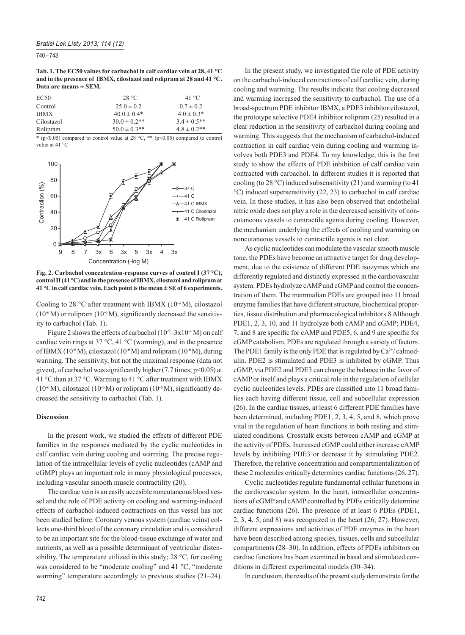740 – 743

**Tab. 1. The EC50 values for carbachol in calf cardiac vein at 28, 41 °C and in the presence of IBMX, cilostazol and rolipram at 28 and 41 °C. Data are means ± SEM.**

| EC <sub>50</sub> | 28 °C             | 41 °C            |
|------------------|-------------------|------------------|
| Control          | $25.0 \pm 0.2$    | $0.7 \pm 0.2$    |
| <b>IBMX</b>      | $40.0 \pm 0.4*$   | $4.0 \pm 0.3*$   |
| Cilostazol       | $30.0 \pm 0.2$ ** | $3.4 \pm 0.5$ ** |
| Rolipram         | $50.0 \pm 0.3$ ** | $4.8 \pm 0.2$ ** |

\* (p<0.05) compared to control value at 28  $^{\circ}$ C, \*\* (p<0.05) compared to control value at 41 °C



**Fig. 2. Carbachol concentration-response curves of control I (37 °C), control II (41 °C) and in the presence of IBMX, cilostazol and rolipram at 41 °C in calf cardiac vein. Each point is the mean ± SE of 6 experiments.**

Cooling to 28  $\degree$ C after treatment with IBMX (10 $\degree$ M), cilostazol  $(10^{-6}M)$  or rolipram  $(10^{-6}M)$ , significantly decreased the sensitivity to carbachol (Tab. 1).

Figure 2 shows the effects of carbachol  $(10^{-9} - 3x10^{-4} M)$  on calf cardiac vein rings at 37 °C, 41 °C (warming), and in the presence of IBMX (10<sup>-6</sup>M), cilostazol (10<sup>-6</sup>M) and rolipram (10<sup>-6</sup>M), during warming. The sensitivity, but not the maximal response (data not given), of carbachol was significantly higher (7.7 times;  $p<0.05$ ) at 41 °C than at 37 °C. Warming to 41 °C after treatment with IBMX  $(10^{-6}M)$ , cilostazol  $(10^{-6}M)$  or rolipram  $(10^{-6}M)$ , significantly decreased the sensitivity to carbachol (Tab. 1).

## **Discussion**

In the present work, we studied the effects of different PDE families in the responses mediated by the cyclic nucleotides in calf cardiac vein during cooling and warming. The precise regulation of the intracellular levels of cyclic nucleotides (cAMP and cGMP) plays an important role in many physiological processes, including vascular smooth muscle contractility (20).

The cardiac vein is an easily accesible noncutaneous blood vessel and the role of PDE activity on cooling and warming-induced effects of carbachol-induced contractions on this vessel has not been studied before. Coronary venous system (cardiac veins) collects one-third blood of the coronary circulation and is considered to be an important site for the blood-tissue exchange of water and nutrients, as well as a possible determinant of ventricular distensibility. The temperature utilized in this study; 28 °C, for cooling was considered to be "moderate cooling" and 41 °C, "moderate warming" temperature accordingly to previous studies  $(21–24)$ .

In the present study, we investigated the role of PDE activity on the carbachol-induced contractions of calf cardiac vein, during cooling and warming. The results indicate that cooling decreased and warming increased the sensitivity to carbachol. The use of a broad-spectrum PDE inhibitor IBMX, a PDE3 inhibitor cilostazol, the prototype selective PDE4 inhibitor rolipram (25) resulted in a clear reduction in the sensitivity of carbachol during cooling and warming. This suggests that the mechanism of carbachol-induced contraction in calf cardiac vein during cooling and warming involves both PDE3 and PDE4. To my knowledge, this is the first study to show the effects of PDE inhibition of calf cardiac vein contracted with carbachol. In different studies it is reported that cooling (to 28 °C) induced subsensitivity (21) and warming (to 41 °C) induced supersensitivity (22, 23) to carbachol in calf cardiac vein. In these studies, it has also been observed that endothelial nitric oxide does not play a role in the decreased sensitivity of noncutaneous vessels to contractile agents during cooling. However, the mechanism underlying the effects of cooling and warming on noncutaneous vessels to contractile agents is not clear.

As cyclic nucleotides can modulate the vascular smooth muscle tone, the PDEs have become an attractive target for drug development, due to the existence of different PDE isozymes which are differently regulated and distinctly expressed in the cardiovascular system. PDEs hydrolyze cAMP and cGMP and control the concentration of them. The mammalian PDEs are grouped into 11 broad enzyme families that have different structure, biochemical properties, tissue distribution and pharmacological inhibitors.8 Although PDE1, 2, 3, 10, and 11 hydrolyze both cAMP and cGMP; PDE4, 7, and 8 are specific for cAMP and PDE5, 6, and 9 are specific for cGMP catabolism. PDEs are regulated through a variety of factors. The PDE1 family is the only PDE that is regulated by  $Ca^{2+}/$  calmodulin. PDE2 is stimulated and PDE3 is inhibited by cGMP. Thus cGMP, via PDE2 and PDE3 can change the balance in the favor of cAMP or itself and plays a critical role in the regulation of cellular cyclic nucleotides levels. PDEs are classified into 11 broad families each having different tissue, cell and subcellular expression (26). In the cardiac tissues, at least 6 different PDE families have been determined, including PDE1, 2, 3, 4, 5, and 8, which prove vital in the regulation of heart functions in both resting and stimulated conditions. Crosstalk exists between cAMP and cGMP at the activity of PDEs. Increased cGMP could either increase cAMP levels by inhibiting PDE3 or decrease it by stimulating PDE2. Therefore, the relative concentration and compartmentalization of these 2 molecules critically determines cardiac functions (26, 27).

Cyclic nucleotides regulate fundamental cellular functions in the cardiovascular system. In the heart, intracellular concentrations of cGMP and cAMP controlled by PDEs critically determine cardiac functions (26). The presence of at least 6 PDEs (PDE1, 2, 3, 4, 5, and 8) was recognized in the heart (26, 27). However, different expressions and activities of PDE enzymes in the heart have been described among species, tissues, cells and subcellular compartments (28–30). In addition, effects of PDEs inhibitors on cardiac functions has been examined in basal and stimulated conditions in different experimental models (30–34).

In conclusion, the results of the present study demonstrate for the